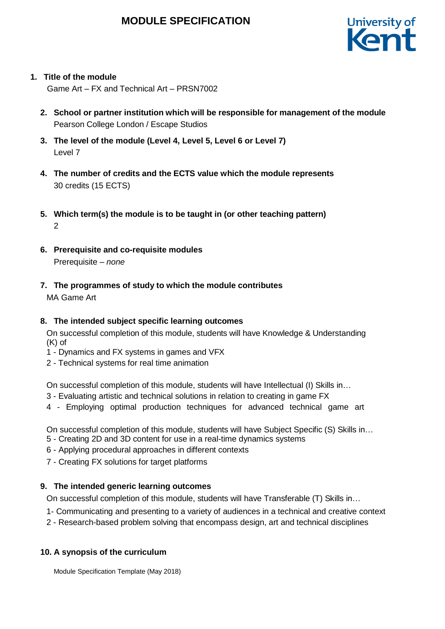## **MODULE SPECIFICATION**



## **1. Title of the module**

Game Art – FX and Technical Art – PRSN7002

- **2. School or partner institution which will be responsible for management of the module** Pearson College London / Escape Studios
- **3. The level of the module (Level 4, Level 5, Level 6 or Level 7)** Level 7
- **4. The number of credits and the ECTS value which the module represents** 30 credits (15 ECTS)
- **5. Which term(s) the module is to be taught in (or other teaching pattern)** 2
- **6. Prerequisite and co-requisite modules** Prerequisite – *none*
- **7. The programmes of study to which the module contributes** MA Game Art

## **8. The intended subject specific learning outcomes**

On successful completion of this module, students will have Knowledge & Understanding (K) of

- 1 Dynamics and FX systems in games and VFX
- 2 Technical systems for real time animation

On successful completion of this module, students will have Intellectual (I) Skills in…

- 3 Evaluating artistic and technical solutions in relation to creating in game FX
- 4 Employing optimal production techniques for advanced technical game art

On successful completion of this module, students will have Subject Specific (S) Skills in…

- 5 Creating 2D and 3D content for use in a real-time dynamics systems
- 6 Applying procedural approaches in different contexts
- 7 Creating FX solutions for target platforms

## **9. The intended generic learning outcomes**

On successful completion of this module, students will have Transferable (T) Skills in…

- 1- Communicating and presenting to a variety of audiences in a technical and creative context
- 2 Research-based problem solving that encompass design, art and technical disciplines

## **10. A synopsis of the curriculum**

Module Specification Template (May 2018)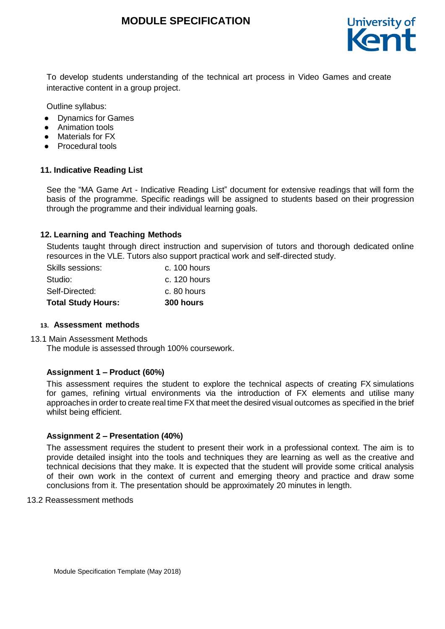## **MODULE SPECIFICATION**



To develop students understanding of the technical art process in Video Games and create interactive content in a group project.

Outline syllabus:

- Dynamics for Games
- Animation tools
- Materials for FX
- Procedural tools

#### **11. Indicative Reading List**

See the "MA Game Art - Indicative Reading List" document for extensive readings that will form the basis of the programme. Specific readings will be assigned to students based on their progression through the programme and their individual learning goals.

#### **12. Learning and Teaching Methods**

Students taught through direct instruction and supervision of tutors and thorough dedicated online resources in the VLE. Tutors also support practical work and self-directed study.

| <b>Total Study Hours:</b> | 300 hours    |
|---------------------------|--------------|
| Self-Directed:            | c. 80 hours  |
| Studio:                   | c. 120 hours |
| Skills sessions:          | c. 100 hours |

#### **13. Assessment methods**

13.1 Main Assessment Methods

The module is assessed through 100% coursework.

#### **Assignment 1 – Product (60%)**

This assessment requires the student to explore the technical aspects of creating FX simulations for games, refining virtual environments via the introduction of FX elements and utilise many approaches in order to create real time FX that meet the desired visual outcomes as specified in the brief whilst being efficient.

#### **Assignment 2 – Presentation (40%)**

The assessment requires the student to present their work in a professional context. The aim is to provide detailed insight into the tools and techniques they are learning as well as the creative and technical decisions that they make. It is expected that the student will provide some critical analysis of their own work in the context of current and emerging theory and practice and draw some conclusions from it. The presentation should be approximately 20 minutes in length.

#### 13.2 Reassessment methods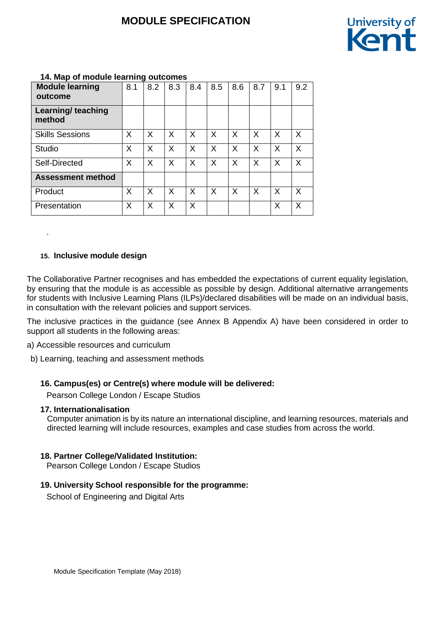# **MODULE SPECIFICATION**



| $1 + 1$ map of modalo loarning outpoined |     |     |     |     |     |     |     |     |     |
|------------------------------------------|-----|-----|-----|-----|-----|-----|-----|-----|-----|
| <b>Module learning</b><br>outcome        | 8.1 | 8.2 | 8.3 | 8.4 | 8.5 | 8.6 | 8.7 | 9.1 | 9.2 |
| Learning/ teaching<br>method             |     |     |     |     |     |     |     |     |     |
| <b>Skills Sessions</b>                   | X   | X   | X   | X   | X   | X   | X   | X   | X   |
| <b>Studio</b>                            | X   | X   | X   | X   | X   | X   | X   | X   | X   |
| Self-Directed                            | X   | X   | X   | X   | X   | X   | X   | X   | X   |
| <b>Assessment method</b>                 |     |     |     |     |     |     |     |     |     |
| Product                                  | X   | X   | X   | X   | X   | X   | X   | X   | X   |
| Presentation                             | X   | X   | X   | X   |     |     |     | X   | X   |

## **14. Map of module learning outcomes**

#### **15. Inclusive module design**

.

The Collaborative Partner recognises and has embedded the expectations of current equality legislation, by ensuring that the module is as accessible as possible by design. Additional alternative arrangements for students with Inclusive Learning Plans (ILPs)/declared disabilities will be made on an individual basis, in consultation with the relevant policies and support services.

The inclusive practices in the guidance (see Annex B Appendix A) have been considered in order to support all students in the following areas:

- a) Accessible resources and curriculum
- b) Learning, teaching and assessment methods

#### **16. Campus(es) or Centre(s) where module will be delivered:**

Pearson College London / Escape Studios

#### **17. Internationalisation**

Computer animation is by its nature an international discipline, and learning resources, materials and directed learning will include resources, examples and case studies from across the world.

#### **18. Partner College/Validated Institution:**

Pearson College London / Escape Studios

#### **19. University School responsible for the programme:**

School of Engineering and Digital Arts